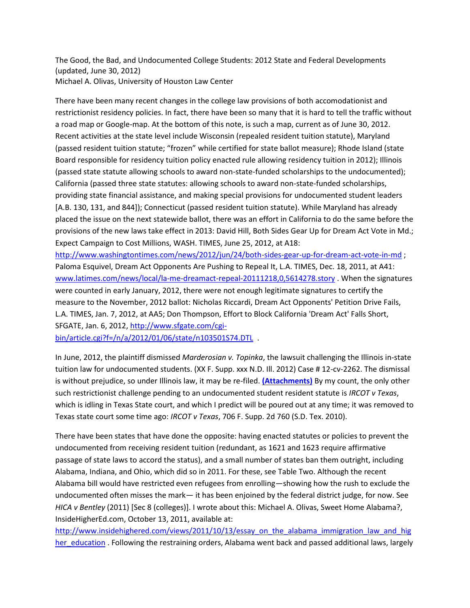The Good, the Bad, and Undocumented College Students: 2012 State and Federal Developments (updated, June 30, 2012) Michael A. Olivas, University of Houston Law Center

There have been many recent changes in the college law provisions of both accomodationist and restrictionist residency policies. In fact, there have been so many that it is hard to tell the traffic without a road map or Google-map. At the bottom of this note, is such a map, current as of June 30, 2012. Recent activities at the state level include Wisconsin (repealed resident tuition statute), Maryland (passed resident tuition statute; "frozen" while certified for state ballot measure); Rhode Island (state Board responsible for residency tuition policy enacted rule allowing residency tuition in 2012); Illinois (passed state statute allowing schools to award non-state-funded scholarships to the undocumented); California (passed three state statutes: allowing schools to award non-state-funded scholarships, providing state financial assistance, and making special provisions for undocumented student leaders [A.B. 130, 131, and 844]); Connecticut (passed resident tuition statute). While Maryland has already placed the issue on the next statewide ballot, there was an effort in California to do the same before the provisions of the new laws take effect in 2013: David Hill, Both Sides Gear Up for Dream Act Vote in Md.; Expect Campaign to Cost Millions, WASH. TIMES, June 25, 2012, at A18:

<http://www.washingtontimes.com/news/2012/jun/24/both-sides-gear-up-for-dream-act-vote-in-md> ; Paloma Esquivel, Dream Act Opponents Are Pushing to Repeal It, L.A. TIMES, Dec. 18, 2011, at A41: [www.latimes.com/news/local/la-me-dreamact-repeal-20111218,0,5614278.story](http://www.latimes.com/news/local/la-me-dreamact-repeal-20111218,0,5614278.story) . When the signatures were counted in early January, 2012, there were not enough legitimate signatures to certify the measure to the November, 2012 ballot: Nicholas Riccardi, Dream Act Opponents' Petition Drive Fails, L.A. TIMES, Jan. 7, 2012, at AA5; Don Thompson, Effort to Block California 'Dream Act' Falls Short, SFGATE, Jan. 6, 2012[, http://www.sfgate.com/cgi-](http://www.sfgate.com/cgi-bin/article.cgi?f=/n/a/2012/01/06/state/n103501S74.DTL)

[bin/article.cgi?f=/n/a/2012/01/06/state/n103501S74.DTL](http://www.sfgate.com/cgi-bin/article.cgi?f=/n/a/2012/01/06/state/n103501S74.DTL) .

In June, 2012, the plaintiff dismissed *Marderosian v. Topinka*, the lawsuit challenging the Illinois in-state tuition law for undocumented students. (XX F. Supp. xxx N.D. Ill. 2012) Case # 12-cv-2262. The dismissal is without prejudice, so under Illinois law, it may be re-filed. **[\(Attachments\)](http://www.law.uh.edu/ihelg/documents/2012_06_19Dismissal.pdf)** By my count, the only other such restrictionist challenge pending to an undocumented student resident statute is *IRCOT v Texas*, which is idling in Texas State court, and which I predict will be poured out at any time; it was removed to Texas state court some time ago: *IRCOT v Texas*, 706 F. Supp. 2d 760 (S.D. Tex. 2010).

There have been states that have done the opposite: having enacted statutes or policies to prevent the undocumented from receiving resident tuition (redundant, as 1621 and 1623 require affirmative passage of state laws to accord the status), and a small number of states ban them outright, including Alabama, Indiana, and Ohio, which did so in 2011. For these, see Table Two. Although the recent Alabama bill would have restricted even refugees from enrolling—showing how the rush to exclude the undocumented often misses the mark— it has been enjoined by the federal district judge, for now. See *HICA v Bentley* (2011) [Sec 8 (colleges)]. I wrote about this: Michael A. Olivas, Sweet Home Alabama?, InsideHigherEd.com, October 13, 2011, available at:

[http://www.insidehighered.com/views/2011/10/13/essay\\_on\\_the\\_alabama\\_immigration\\_law\\_and\\_hig](http://www.insidehighered.com/views/2011/10/13/essay_on_the_alabama_immigration_law_and_higher_education) [her\\_education](http://www.insidehighered.com/views/2011/10/13/essay_on_the_alabama_immigration_law_and_higher_education) . Following the restraining orders, Alabama went back and passed additional laws, largely